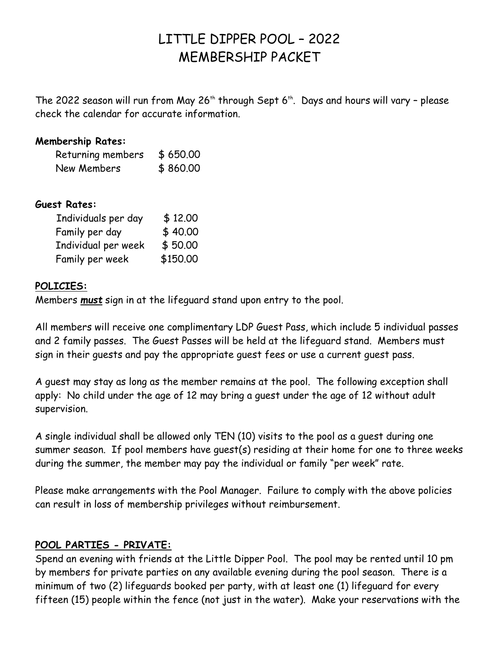# LITTLE DIPPER POOL – 2022 MEMBERSHIP PACKET

The 2022 season will run from May 26<sup>th</sup> through Sept 6<sup>th</sup>. Days and hours will vary - please check the calendar for accurate information.

#### **Membership Rates:**

| Returning members \$650.00 |          |
|----------------------------|----------|
| New Members                | \$860.00 |

#### **Guest Rates:**

| Individuals per day | \$12,00  |
|---------------------|----------|
| Family per day      | \$40,00  |
| Individual per week | \$50,00  |
| Family per week     | \$150.00 |

#### **POLICIES:**

Members *must* sign in at the lifeguard stand upon entry to the pool.

All members will receive one complimentary LDP Guest Pass, which include 5 individual passes and 2 family passes. The Guest Passes will be held at the lifeguard stand. Members must sign in their guests and pay the appropriate guest fees or use a current guest pass.

A guest may stay as long as the member remains at the pool. The following exception shall apply: No child under the age of 12 may bring a guest under the age of 12 without adult supervision.

A single individual shall be allowed only TEN (10) visits to the pool as a guest during one summer season. If pool members have guest(s) residing at their home for one to three weeks during the summer, the member may pay the individual or family "per week" rate.

Please make arrangements with the Pool Manager. Failure to comply with the above policies can result in loss of membership privileges without reimbursement.

#### **POOL PARTIES - PRIVATE:**

Spend an evening with friends at the Little Dipper Pool. The pool may be rented until 10 pm by members for private parties on any available evening during the pool season. There is a minimum of two (2) lifeguards booked per party, with at least one (1) lifeguard for every fifteen (15) people within the fence (not just in the water). Make your reservations with the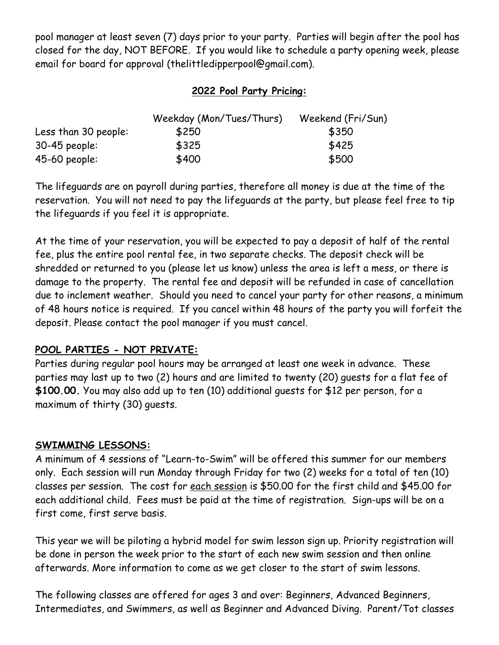pool manager at least seven (7) days prior to your party. Parties will begin after the pool has closed for the day, NOT BEFORE. If you would like to schedule a party opening week, please email for board for approval (thelittledipperpool@gmail.com).

### **2022 Pool Party Pricing:**

|                      | Weekday (Mon/Tues/Thurs) | Weekend (Fri/Sun) |  |
|----------------------|--------------------------|-------------------|--|
| Less than 30 people: | \$250                    | \$350             |  |
| $30-45$ people:      | \$325                    | \$425             |  |
| $45-60$ people:      | \$400                    | \$500             |  |

The lifeguards are on payroll during parties, therefore all money is due at the time of the reservation. You will not need to pay the lifeguards at the party, but please feel free to tip the lifeguards if you feel it is appropriate.

At the time of your reservation, you will be expected to pay a deposit of half of the rental fee, plus the entire pool rental fee, in two separate checks. The deposit check will be shredded or returned to you (please let us know) unless the area is left a mess, or there is damage to the property. The rental fee and deposit will be refunded in case of cancellation due to inclement weather. Should you need to cancel your party for other reasons, a minimum of 48 hours notice is required. If you cancel within 48 hours of the party you will forfeit the deposit. Please contact the pool manager if you must cancel.

#### **POOL PARTIES - NOT PRIVATE:**

Parties during regular pool hours may be arranged at least one week in advance. These parties may last up to two (2) hours and are limited to twenty (20) guests for a flat fee of **\$100.00.** You may also add up to ten (10) additional guests for \$12 per person, for a maximum of thirty (30) guests.

#### **SWIMMING LESSONS:**

A minimum of 4 sessions of "Learn-to-Swim" will be offered this summer for our members only. Each session will run Monday through Friday for two (2) weeks for a total of ten (10) classes per session. The cost for each session is \$50.00 for the first child and \$45.00 for each additional child. Fees must be paid at the time of registration. Sign-ups will be on a first come, first serve basis.

This year we will be piloting a hybrid model for swim lesson sign up. Priority registration will be done in person the week prior to the start of each new swim session and then online afterwards. More information to come as we get closer to the start of swim lessons.

The following classes are offered for ages 3 and over: Beginners, Advanced Beginners, Intermediates, and Swimmers, as well as Beginner and Advanced Diving. Parent/Tot classes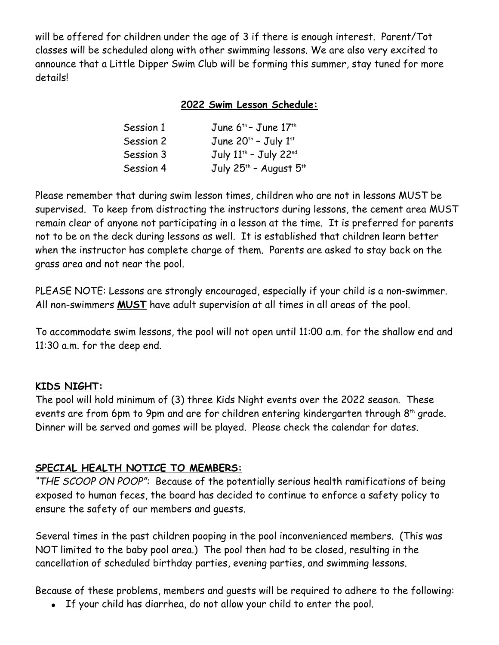will be offered for children under the age of 3 if there is enough interest. Parent/Tot classes will be scheduled along with other swimming lessons. We are also very excited to announce that a Little Dipper Swim Club will be forming this summer, stay tuned for more details!

#### **2022 Swim Lesson Schedule:**

| Session 1 | June 6 <sup>th</sup> - June 17 <sup>th</sup>   |
|-----------|------------------------------------------------|
| Session 2 | June $20^{th}$ - July $1^{st}$                 |
| Session 3 | July 11 <sup>th</sup> - July 22 <sup>nd</sup>  |
| Session 4 | July 25 <sup>th</sup> - August 5 <sup>th</sup> |

Please remember that during swim lesson times, children who are not in lessons MUST be supervised. To keep from distracting the instructors during lessons, the cement area MUST remain clear of anyone not participating in a lesson at the time. It is preferred for parents not to be on the deck during lessons as well. It is established that children learn better when the instructor has complete charge of them. Parents are asked to stay back on the grass area and not near the pool.

PLEASE NOTE: Lessons are strongly encouraged, especially if your child is a non-swimmer. All non-swimmers **MUST** have adult supervision at all times in all areas of the pool.

To accommodate swim lessons, the pool will not open until 11:00 a.m. for the shallow end and 11:30 a.m. for the deep end.

#### **KIDS NIGHT:**

The pool will hold minimum of (3) three Kids Night events over the 2022 season. These events are from 6pm to 9pm and are for children entering kindergarten through  $8<sup>th</sup>$  grade. Dinner will be served and games will be played. Please check the calendar for dates.

#### **SPECIAL HEALTH NOTICE TO MEMBERS:**

*"THE SCOOP ON POOP":* Because of the potentially serious health ramifications of being exposed to human feces, the board has decided to continue to enforce a safety policy to ensure the safety of our members and guests.

Several times in the past children pooping in the pool inconvenienced members. (This was NOT limited to the baby pool area.) The pool then had to be closed, resulting in the cancellation of scheduled birthday parties, evening parties, and swimming lessons.

Because of these problems, members and guests will be required to adhere to the following:

If your child has diarrhea, do not allow your child to enter the pool.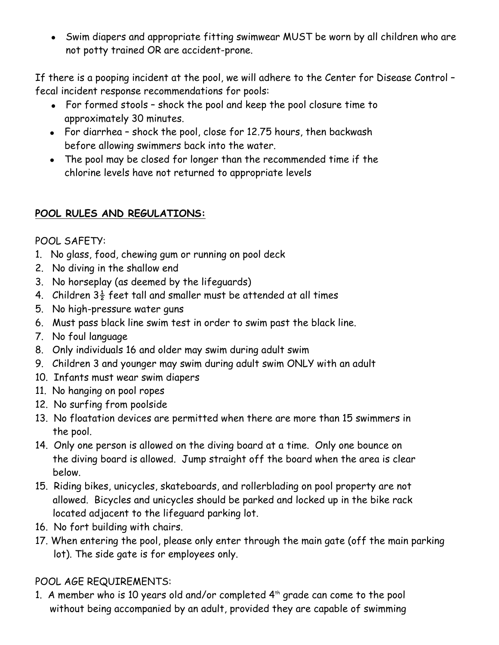Swim diapers and appropriate fitting swimwear MUST be worn by all children who are not potty trained OR are accident-prone.

If there is a pooping incident at the pool, we will adhere to the Center for Disease Control – fecal incident response recommendations for pools:

- For formed stools shock the pool and keep the pool closure time to approximately 30 minutes.
- For diarrhea shock the pool, close for 12.75 hours, then backwash before allowing swimmers back into the water.
- The pool may be closed for longer than the recommended time if the chlorine levels have not returned to appropriate levels

# **POOL RULES AND REGULATIONS:**

POOL SAFETY:

- 1. No glass, food, chewing gum or running on pool deck
- 2. No diving in the shallow end
- 3. No horseplay (as deemed by the lifeguards)
- 4. Children  $3\frac{1}{2}$  feet tall and smaller must be attended at all times
- 5. No high-pressure water guns
- 6. Must pass black line swim test in order to swim past the black line.
- 7. No foul language
- 8. Only individuals 16 and older may swim during adult swim
- 9. Children 3 and younger may swim during adult swim ONLY with an adult
- 10. Infants must wear swim diapers
- 11. No hanging on pool ropes
- 12. No surfing from poolside
- 13. No floatation devices are permitted when there are more than 15 swimmers in the pool.
- 14. Only one person is allowed on the diving board at a time. Only one bounce on the diving board is allowed. Jump straight off the board when the area is clear below.
- 15. Riding bikes, unicycles, skateboards, and rollerblading on pool property are not allowed. Bicycles and unicycles should be parked and locked up in the bike rack located adjacent to the lifeguard parking lot.
- 16. No fort building with chairs.
- 17. When entering the pool, please only enter through the main gate (off the main parking lot). The side gate is for employees only.

# POOL AGE REQUIREMENTS:

1. A member who is 10 years old and/or completed  $4<sup>th</sup>$  grade can come to the pool without being accompanied by an adult, provided they are capable of swimming